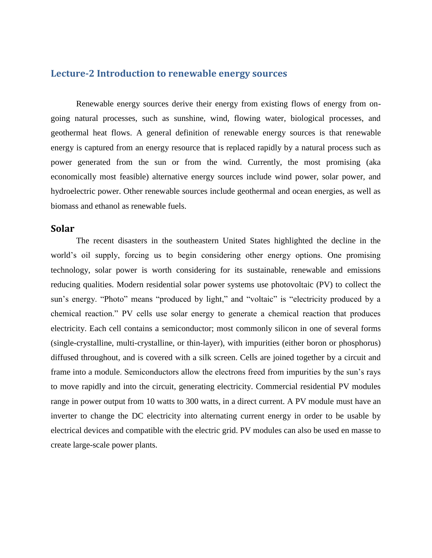# **Lecture-2 Introduction to renewable energy sources**

Renewable energy sources derive their energy from existing flows of energy from ongoing natural processes, such as sunshine, wind, flowing water, biological processes, and geothermal heat flows. A general definition of renewable energy sources is that renewable energy is captured from an energy resource that is replaced rapidly by a natural process such as power generated from the sun or from the wind. Currently, the most promising (aka economically most feasible) alternative energy sources include wind power, solar power, and hydroelectric power. Other renewable sources include geothermal and ocean energies, as well as biomass and ethanol as renewable fuels.

#### **Solar**

The recent disasters in the southeastern United States highlighted the decline in the world's oil supply, forcing us to begin considering other energy options. One promising technology, solar power is worth considering for its sustainable, renewable and emissions reducing qualities. Modern residential solar power systems use photovoltaic (PV) to collect the sun's energy. "Photo" means "produced by light," and "voltaic" is "electricity produced by a chemical reaction." PV cells use solar energy to generate a chemical reaction that produces electricity. Each cell contains a semiconductor; most commonly silicon in one of several forms (single-crystalline, multi-crystalline, or thin-layer), with impurities (either boron or phosphorus) diffused throughout, and is covered with a silk screen. Cells are joined together by a circuit and frame into a module. Semiconductors allow the electrons freed from impurities by the sun's rays to move rapidly and into the circuit, generating electricity. Commercial residential PV modules range in power output from 10 watts to 300 watts, in a direct current. A PV module must have an inverter to change the DC electricity into alternating current energy in order to be usable by electrical devices and compatible with the electric grid. PV modules can also be used en masse to create large-scale power plants.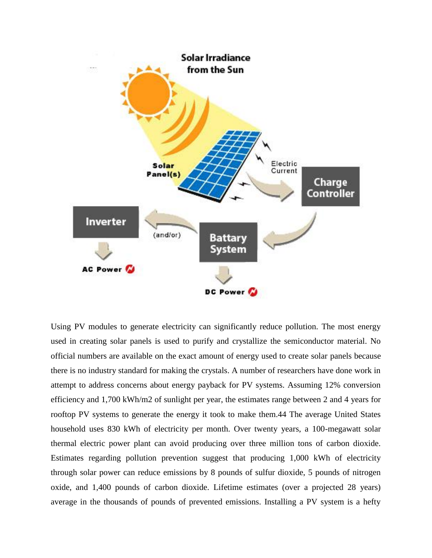

Using PV modules to generate electricity can significantly reduce pollution. The most energy used in creating solar panels is used to purify and crystallize the semiconductor material. No official numbers are available on the exact amount of energy used to create solar panels because there is no industry standard for making the crystals. A number of researchers have done work in attempt to address concerns about energy payback for PV systems. Assuming 12% conversion efficiency and 1,700 kWh/m2 of sunlight per year, the estimates range between 2 and 4 years for rooftop PV systems to generate the energy it took to make them.44 The average United States household uses 830 kWh of electricity per month. Over twenty years, a 100-megawatt solar thermal electric power plant can avoid producing over three million tons of carbon dioxide. Estimates regarding pollution prevention suggest that producing 1,000 kWh of electricity through solar power can reduce emissions by 8 pounds of sulfur dioxide, 5 pounds of nitrogen oxide, and 1,400 pounds of carbon dioxide. Lifetime estimates (over a projected 28 years) average in the thousands of pounds of prevented emissions. Installing a PV system is a hefty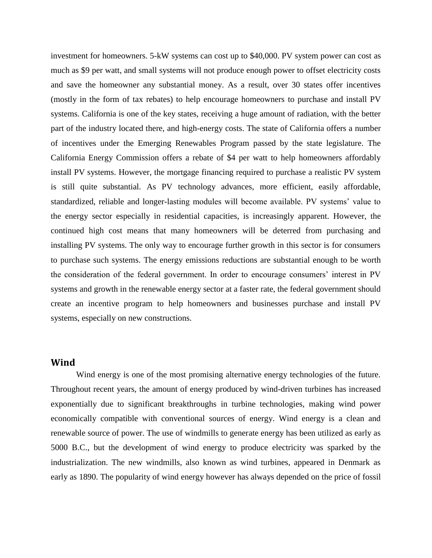investment for homeowners. 5-kW systems can cost up to \$40,000. PV system power can cost as much as \$9 per watt, and small systems will not produce enough power to offset electricity costs and save the homeowner any substantial money. As a result, over 30 states offer incentives (mostly in the form of tax rebates) to help encourage homeowners to purchase and install PV systems. California is one of the key states, receiving a huge amount of radiation, with the better part of the industry located there, and high-energy costs. The state of California offers a number of incentives under the Emerging Renewables Program passed by the state legislature. The California Energy Commission offers a rebate of \$4 per watt to help homeowners affordably install PV systems. However, the mortgage financing required to purchase a realistic PV system is still quite substantial. As PV technology advances, more efficient, easily affordable, standardized, reliable and longer-lasting modules will become available. PV systems' value to the energy sector especially in residential capacities, is increasingly apparent. However, the continued high cost means that many homeowners will be deterred from purchasing and installing PV systems. The only way to encourage further growth in this sector is for consumers to purchase such systems. The energy emissions reductions are substantial enough to be worth the consideration of the federal government. In order to encourage consumers' interest in PV systems and growth in the renewable energy sector at a faster rate, the federal government should create an incentive program to help homeowners and businesses purchase and install PV systems, especially on new constructions.

## **Wind**

Wind energy is one of the most promising alternative energy technologies of the future. Throughout recent years, the amount of energy produced by wind-driven turbines has increased exponentially due to significant breakthroughs in turbine technologies, making wind power economically compatible with conventional sources of energy. Wind energy is a clean and renewable source of power. The use of windmills to generate energy has been utilized as early as 5000 B.C., but the development of wind energy to produce electricity was sparked by the industrialization. The new windmills, also known as wind turbines, appeared in Denmark as early as 1890. The popularity of wind energy however has always depended on the price of fossil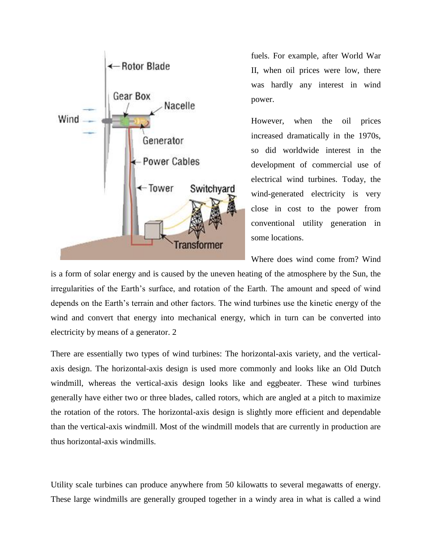

fuels. For example, after World War II, when oil prices were low, there was hardly any interest in wind power.

However, when the oil prices increased dramatically in the 1970s, so did worldwide interest in the development of commercial use of electrical wind turbines. Today, the wind-generated electricity is very close in cost to the power from conventional utility generation in some locations.

Where does wind come from? Wind

is a form of solar energy and is caused by the uneven heating of the atmosphere by the Sun, the irregularities of the Earth's surface, and rotation of the Earth. The amount and speed of wind depends on the Earth's terrain and other factors. The wind turbines use the kinetic energy of the wind and convert that energy into mechanical energy, which in turn can be converted into electricity by means of a generator. 2

There are essentially two types of wind turbines: The horizontal-axis variety, and the verticalaxis design. The horizontal-axis design is used more commonly and looks like an Old Dutch windmill, whereas the vertical-axis design looks like and eggbeater. These wind turbines generally have either two or three blades, called rotors, which are angled at a pitch to maximize the rotation of the rotors. The horizontal-axis design is slightly more efficient and dependable than the vertical-axis windmill. Most of the windmill models that are currently in production are thus horizontal-axis windmills.

Utility scale turbines can produce anywhere from 50 kilowatts to several megawatts of energy. These large windmills are generally grouped together in a windy area in what is called a wind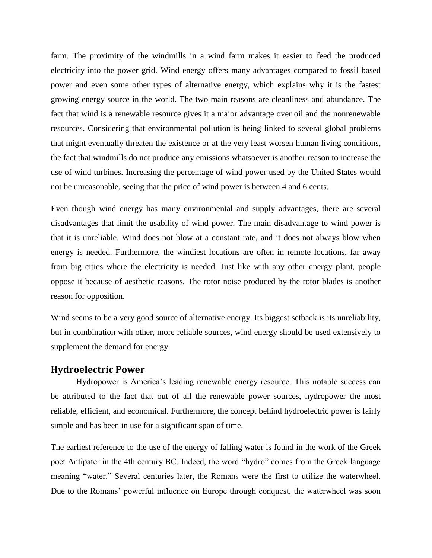farm. The proximity of the windmills in a wind farm makes it easier to feed the produced electricity into the power grid. Wind energy offers many advantages compared to fossil based power and even some other types of alternative energy, which explains why it is the fastest growing energy source in the world. The two main reasons are cleanliness and abundance. The fact that wind is a renewable resource gives it a major advantage over oil and the nonrenewable resources. Considering that environmental pollution is being linked to several global problems that might eventually threaten the existence or at the very least worsen human living conditions, the fact that windmills do not produce any emissions whatsoever is another reason to increase the use of wind turbines. Increasing the percentage of wind power used by the United States would not be unreasonable, seeing that the price of wind power is between 4 and 6 cents.

Even though wind energy has many environmental and supply advantages, there are several disadvantages that limit the usability of wind power. The main disadvantage to wind power is that it is unreliable. Wind does not blow at a constant rate, and it does not always blow when energy is needed. Furthermore, the windiest locations are often in remote locations, far away from big cities where the electricity is needed. Just like with any other energy plant, people oppose it because of aesthetic reasons. The rotor noise produced by the rotor blades is another reason for opposition.

Wind seems to be a very good source of alternative energy. Its biggest setback is its unreliability, but in combination with other, more reliable sources, wind energy should be used extensively to supplement the demand for energy.

# **Hydroelectric Power**

Hydropower is America's leading renewable energy resource. This notable success can be attributed to the fact that out of all the renewable power sources, hydropower the most reliable, efficient, and economical. Furthermore, the concept behind hydroelectric power is fairly simple and has been in use for a significant span of time.

The earliest reference to the use of the energy of falling water is found in the work of the Greek poet Antipater in the 4th century BC. Indeed, the word "hydro" comes from the Greek language meaning "water." Several centuries later, the Romans were the first to utilize the waterwheel. Due to the Romans' powerful influence on Europe through conquest, the waterwheel was soon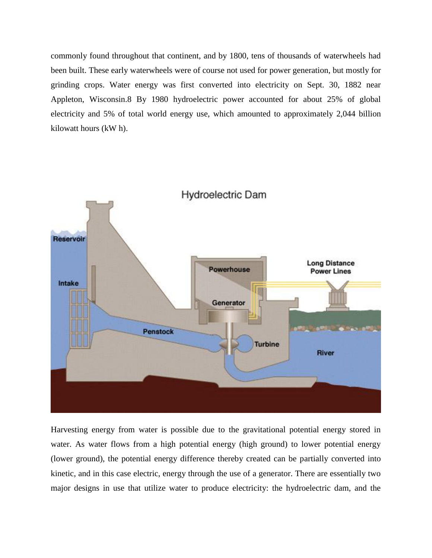commonly found throughout that continent, and by 1800, tens of thousands of waterwheels had been built. These early waterwheels were of course not used for power generation, but mostly for grinding crops. Water energy was first converted into electricity on Sept. 30, 1882 near Appleton, Wisconsin.8 By 1980 hydroelectric power accounted for about 25% of global electricity and 5% of total world energy use, which amounted to approximately 2,044 billion kilowatt hours (kW h).



Harvesting energy from water is possible due to the gravitational potential energy stored in water. As water flows from a high potential energy (high ground) to lower potential energy (lower ground), the potential energy difference thereby created can be partially converted into kinetic, and in this case electric, energy through the use of a generator. There are essentially two major designs in use that utilize water to produce electricity: the hydroelectric dam, and the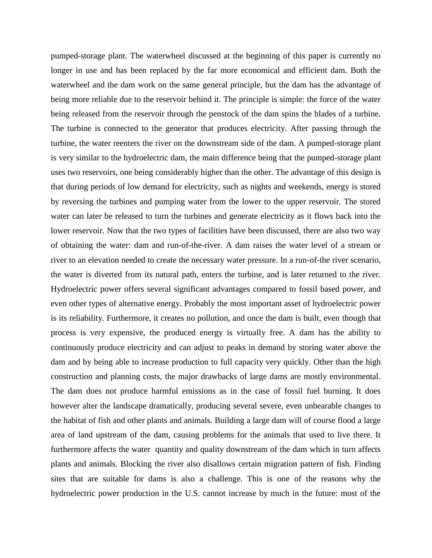pumped-storage plant. The waterwheel discussed at the beginning of this paper is currently no longer in use and has been replaced by the far more economical and efficient dam. Both the waterwheel and the dam work on the same general principle, but the dam has the advantage of being more reliable due to the reservoir behind it. The principle is simple: the force of the water being released from the reservoir through the penstock of the dam spins the blades of a turbine. The turbine is connected to the generator that produces electricity. After passing through the turbine, the water reenters the river on the downstream side of the dam. A pumped-storage plant is very similar to the hydroelectric dam, the main difference being that the pumped-storage plant uses two reservoirs, one being considerably higher than the other. The advantage of this design is that during periods of low demand for electricity, such as nights and weekends, energy is stored by reversing the turbines and pumping water from the lower to the upper reservoir. The stored water can later be released to turn the turbines and generate electricity as it flows back into the lower reservoir. Now that the two types of facilities have been discussed, there are also two way of obtaining the water: dam and run-of-the-river. A dam raises the water level of a stream or river to an elevation needed to create the necessary water pressure. In a run-of-the river scenario, the water is diverted from its natural path, enters the turbine, and is later returned to the river. Hydroelectric power offers several significant advantages compared to fossil based power, and even other types of alternative energy. Probably the most important asset of hydroelectric power is its reliability. Furthermore, it creates no pollution, and once the dam is built, even though that process is very expensive, the produced energy is virtually free. A dam has the ability to continuously produce electricity and can adjust to peaks in demand by storing water above the dam and by being able to increase production to full capacity very quickly. Other than the high construction and planning costs, the major drawbacks of large dams are mostly environmental. The dam does not produce harmful emissions as in the case of fossil fuel burning. It does however alter the landscape dramatically, producing several severe, even unbearable changes to the habitat of fish and other plants and animals. Building a large dam will of course flood a large area of land upstream of the dam, causing problems for the animals that used to live there. It furthermore affects the water quantity and quality downstream of the dam which in turn affects plants and animals. Blocking the river also disallows certain migration pattern of fish. Finding sites that are suitable for dams is also a challenge. This is one of the reasons why the hydroelectric power production in the U.S. cannot increase by much in the future: most of the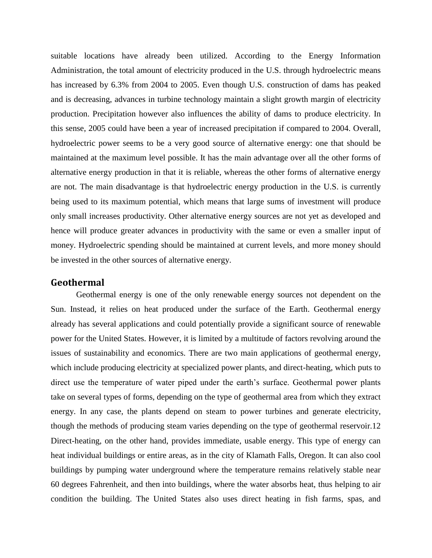suitable locations have already been utilized. According to the Energy Information Administration, the total amount of electricity produced in the U.S. through hydroelectric means has increased by 6.3% from 2004 to 2005. Even though U.S. construction of dams has peaked and is decreasing, advances in turbine technology maintain a slight growth margin of electricity production. Precipitation however also influences the ability of dams to produce electricity. In this sense, 2005 could have been a year of increased precipitation if compared to 2004. Overall, hydroelectric power seems to be a very good source of alternative energy: one that should be maintained at the maximum level possible. It has the main advantage over all the other forms of alternative energy production in that it is reliable, whereas the other forms of alternative energy are not. The main disadvantage is that hydroelectric energy production in the U.S. is currently being used to its maximum potential, which means that large sums of investment will produce only small increases productivity. Other alternative energy sources are not yet as developed and hence will produce greater advances in productivity with the same or even a smaller input of money. Hydroelectric spending should be maintained at current levels, and more money should be invested in the other sources of alternative energy.

# **Geothermal**

Geothermal energy is one of the only renewable energy sources not dependent on the Sun. Instead, it relies on heat produced under the surface of the Earth. Geothermal energy already has several applications and could potentially provide a significant source of renewable power for the United States. However, it is limited by a multitude of factors revolving around the issues of sustainability and economics. There are two main applications of geothermal energy, which include producing electricity at specialized power plants, and direct-heating, which puts to direct use the temperature of water piped under the earth's surface. Geothermal power plants take on several types of forms, depending on the type of geothermal area from which they extract energy. In any case, the plants depend on steam to power turbines and generate electricity, though the methods of producing steam varies depending on the type of geothermal reservoir.12 Direct-heating, on the other hand, provides immediate, usable energy. This type of energy can heat individual buildings or entire areas, as in the city of Klamath Falls, Oregon. It can also cool buildings by pumping water underground where the temperature remains relatively stable near 60 degrees Fahrenheit, and then into buildings, where the water absorbs heat, thus helping to air condition the building. The United States also uses direct heating in fish farms, spas, and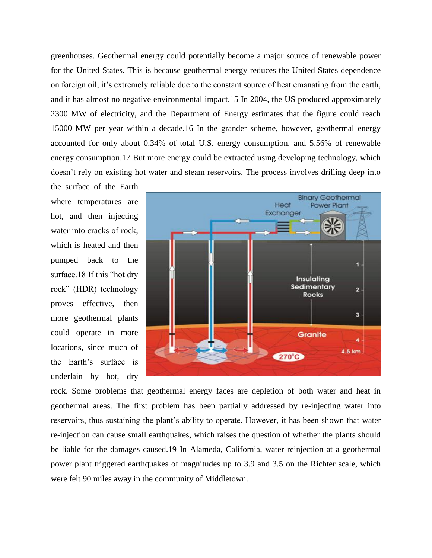greenhouses. Geothermal energy could potentially become a major source of renewable power for the United States. This is because geothermal energy reduces the United States dependence on foreign oil, it's extremely reliable due to the constant source of heat emanating from the earth, and it has almost no negative environmental impact.15 In 2004, the US produced approximately 2300 MW of electricity, and the Department of Energy estimates that the figure could reach 15000 MW per year within a decade.16 In the grander scheme, however, geothermal energy accounted for only about 0.34% of total U.S. energy consumption, and 5.56% of renewable energy consumption.17 But more energy could be extracted using developing technology, which doesn't rely on existing hot water and steam reservoirs. The process involves drilling deep into

the surface of the Earth where temperatures are hot, and then injecting water into cracks of rock. which is heated and then pumped back to the surface.18 If this "hot dry rock" (HDR) technology proves effective, then more geothermal plants could operate in more locations, since much of the Earth's surface is underlain by hot, dry



rock. Some problems that geothermal energy faces are depletion of both water and heat in geothermal areas. The first problem has been partially addressed by re-injecting water into reservoirs, thus sustaining the plant's ability to operate. However, it has been shown that water re-injection can cause small earthquakes, which raises the question of whether the plants should be liable for the damages caused.19 In Alameda, California, water reinjection at a geothermal power plant triggered earthquakes of magnitudes up to 3.9 and 3.5 on the Richter scale, which were felt 90 miles away in the community of Middletown.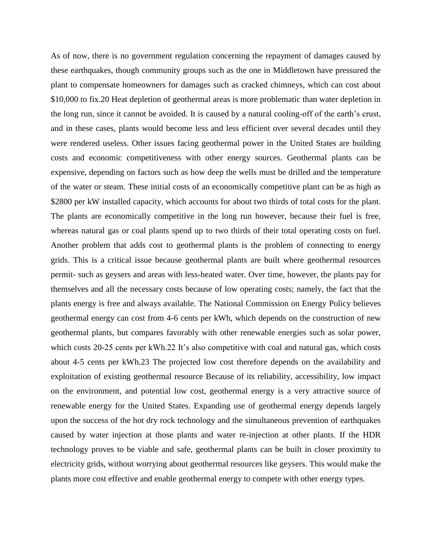As of now, there is no government regulation concerning the repayment of damages caused by these earthquakes, though community groups such as the one in Middletown have pressured the plant to compensate homeowners for damages such as cracked chimneys, which can cost about \$10,000 to fix.20 Heat depletion of geothermal areas is more problematic than water depletion in the long run, since it cannot be avoided. It is caused by a natural cooling-off of the earth's crust, and in these cases, plants would become less and less efficient over several decades until they were rendered useless. Other issues facing geothermal power in the United States are building costs and economic competitiveness with other energy sources. Geothermal plants can be expensive, depending on factors such as how deep the wells must be drilled and the temperature of the water or steam. These initial costs of an economically competitive plant can be as high as \$2800 per kW installed capacity, which accounts for about two thirds of total costs for the plant. The plants are economically competitive in the long run however, because their fuel is free, whereas natural gas or coal plants spend up to two thirds of their total operating costs on fuel. Another problem that adds cost to geothermal plants is the problem of connecting to energy grids. This is a critical issue because geothermal plants are built where geothermal resources permit- such as geysers and areas with less-heated water. Over time, however, the plants pay for themselves and all the necessary costs because of low operating costs; namely, the fact that the plants energy is free and always available. The National Commission on Energy Policy believes geothermal energy can cost from 4-6 cents per kWh, which depends on the construction of new geothermal plants, but compares favorably with other renewable energies such as solar power, which costs 20-25 cents per kWh.22 It's also competitive with coal and natural gas, which costs about 4-5 cents per kWh.23 The projected low cost therefore depends on the availability and exploitation of existing geothermal resource Because of its reliability, accessibility, low impact on the environment, and potential low cost, geothermal energy is a very attractive source of renewable energy for the United States. Expanding use of geothermal energy depends largely upon the success of the hot dry rock technology and the simultaneous prevention of earthquakes caused by water injection at those plants and water re-injection at other plants. If the HDR technology proves to be viable and safe, geothermal plants can be built in closer proximity to electricity grids, without worrying about geothermal resources like geysers. This would make the plants more cost effective and enable geothermal energy to compete with other energy types.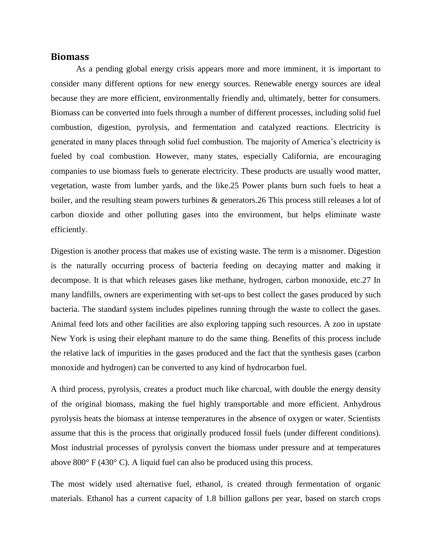#### **Biomass**

As a pending global energy crisis appears more and more imminent, it is important to consider many different options for new energy sources. Renewable energy sources are ideal because they are more efficient, environmentally friendly and, ultimately, better for consumers. Biomass can be converted into fuels through a number of different processes, including solid fuel combustion, digestion, pyrolysis, and fermentation and catalyzed reactions. Electricity is generated in many places through solid fuel combustion. The majority of America's electricity is fueled by coal combustion. However, many states, especially California, are encouraging companies to use biomass fuels to generate electricity. These products are usually wood matter, vegetation, waste from lumber yards, and the like.25 Power plants burn such fuels to heat a boiler, and the resulting steam powers turbines & generators. 26 This process still releases a lot of carbon dioxide and other polluting gases into the environment, but helps eliminate waste efficiently.

Digestion is another process that makes use of existing waste. The term is a misnomer. Digestion is the naturally occurring process of bacteria feeding on decaying matter and making it decompose. It is that which releases gases like methane, hydrogen, carbon monoxide, etc.27 In many landfills, owners are experimenting with set-ups to best collect the gases produced by such bacteria. The standard system includes pipelines running through the waste to collect the gases. Animal feed lots and other facilities are also exploring tapping such resources. A zoo in upstate New York is using their elephant manure to do the same thing. Benefits of this process include the relative lack of impurities in the gases produced and the fact that the synthesis gases (carbon monoxide and hydrogen) can be converted to any kind of hydrocarbon fuel.

A third process, pyrolysis, creates a product much like charcoal, with double the energy density of the original biomass, making the fuel highly transportable and more efficient. Anhydrous pyrolysis heats the biomass at intense temperatures in the absence of oxygen or water. Scientists assume that this is the process that originally produced fossil fuels (under different conditions). Most industrial processes of pyrolysis convert the biomass under pressure and at temperatures above 800° F (430° C). A liquid fuel can also be produced using this process.

The most widely used alternative fuel, ethanol, is created through fermentation of organic materials. Ethanol has a current capacity of 1.8 billion gallons per year, based on starch crops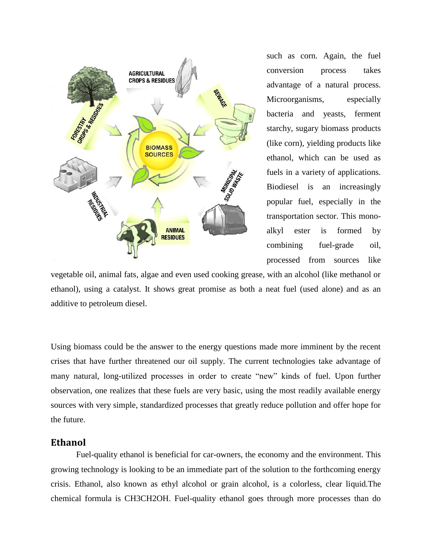

such as corn. Again, the fuel conversion process takes advantage of a natural process. Microorganisms, especially bacteria and yeasts, ferment starchy, sugary biomass products (like corn), yielding products like ethanol, which can be used as fuels in a variety of applications. Biodiesel is an increasingly popular fuel, especially in the transportation sector. This monoalkyl ester is formed by combining fuel-grade oil, processed from sources like

vegetable oil, animal fats, algae and even used cooking grease, with an alcohol (like methanol or ethanol), using a catalyst. It shows great promise as both a neat fuel (used alone) and as an additive to petroleum diesel.

Using biomass could be the answer to the energy questions made more imminent by the recent crises that have further threatened our oil supply. The current technologies take advantage of many natural, long-utilized processes in order to create "new" kinds of fuel. Upon further observation, one realizes that these fuels are very basic, using the most readily available energy sources with very simple, standardized processes that greatly reduce pollution and offer hope for the future.

#### **Ethanol**

Fuel-quality ethanol is beneficial for car-owners, the economy and the environment. This growing technology is looking to be an immediate part of the solution to the forthcoming energy crisis. Ethanol, also known as ethyl alcohol or grain alcohol, is a colorless, clear liquid.The chemical formula is CH3CH2OH. Fuel-quality ethanol goes through more processes than do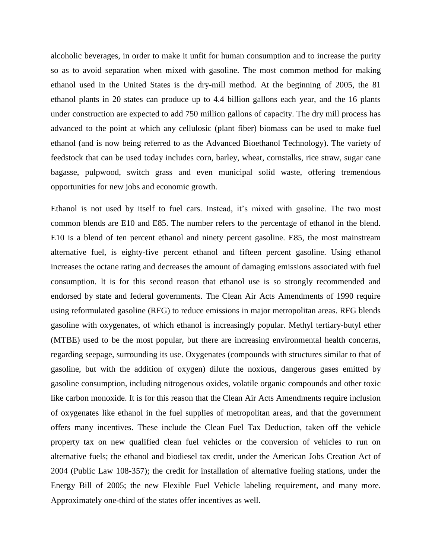alcoholic beverages, in order to make it unfit for human consumption and to increase the purity so as to avoid separation when mixed with gasoline. The most common method for making ethanol used in the United States is the dry-mill method. At the beginning of 2005, the 81 ethanol plants in 20 states can produce up to 4.4 billion gallons each year, and the 16 plants under construction are expected to add 750 million gallons of capacity. The dry mill process has advanced to the point at which any cellulosic (plant fiber) biomass can be used to make fuel ethanol (and is now being referred to as the Advanced Bioethanol Technology). The variety of feedstock that can be used today includes corn, barley, wheat, cornstalks, rice straw, sugar cane bagasse, pulpwood, switch grass and even municipal solid waste, offering tremendous opportunities for new jobs and economic growth.

Ethanol is not used by itself to fuel cars. Instead, it's mixed with gasoline. The two most common blends are E10 and E85. The number refers to the percentage of ethanol in the blend. E10 is a blend of ten percent ethanol and ninety percent gasoline. E85, the most mainstream alternative fuel, is eighty-five percent ethanol and fifteen percent gasoline. Using ethanol increases the octane rating and decreases the amount of damaging emissions associated with fuel consumption. It is for this second reason that ethanol use is so strongly recommended and endorsed by state and federal governments. The Clean Air Acts Amendments of 1990 require using reformulated gasoline (RFG) to reduce emissions in major metropolitan areas. RFG blends gasoline with oxygenates, of which ethanol is increasingly popular. Methyl tertiary-butyl ether (MTBE) used to be the most popular, but there are increasing environmental health concerns, regarding seepage, surrounding its use. Oxygenates (compounds with structures similar to that of gasoline, but with the addition of oxygen) dilute the noxious, dangerous gases emitted by gasoline consumption, including nitrogenous oxides, volatile organic compounds and other toxic like carbon monoxide. It is for this reason that the Clean Air Acts Amendments require inclusion of oxygenates like ethanol in the fuel supplies of metropolitan areas, and that the government offers many incentives. These include the Clean Fuel Tax Deduction, taken off the vehicle property tax on new qualified clean fuel vehicles or the conversion of vehicles to run on alternative fuels; the ethanol and biodiesel tax credit, under the American Jobs Creation Act of 2004 (Public Law 108-357); the credit for installation of alternative fueling stations, under the Energy Bill of 2005; the new Flexible Fuel Vehicle labeling requirement, and many more. Approximately one-third of the states offer incentives as well.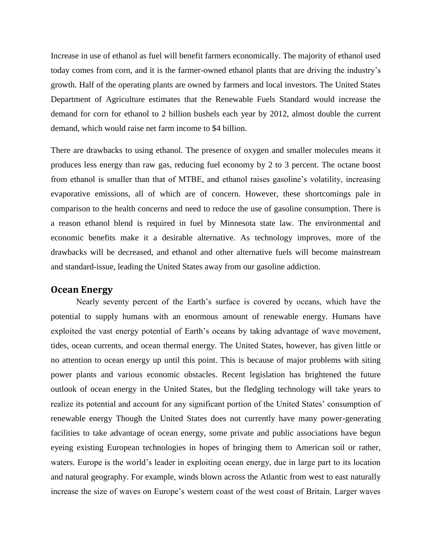Increase in use of ethanol as fuel will benefit farmers economically. The majority of ethanol used today comes from corn, and it is the farmer-owned ethanol plants that are driving the industry's growth. Half of the operating plants are owned by farmers and local investors. The United States Department of Agriculture estimates that the Renewable Fuels Standard would increase the demand for corn for ethanol to 2 billion bushels each year by 2012, almost double the current demand, which would raise net farm income to \$4 billion.

There are drawbacks to using ethanol. The presence of oxygen and smaller molecules means it produces less energy than raw gas, reducing fuel economy by 2 to 3 percent. The octane boost from ethanol is smaller than that of MTBE, and ethanol raises gasoline's volatility, increasing evaporative emissions, all of which are of concern. However, these shortcomings pale in comparison to the health concerns and need to reduce the use of gasoline consumption. There is a reason ethanol blend is required in fuel by Minnesota state law. The environmental and economic benefits make it a desirable alternative. As technology improves, more of the drawbacks will be decreased, and ethanol and other alternative fuels will become mainstream and standard-issue, leading the United States away from our gasoline addiction.

## **Ocean Energy**

Nearly seventy percent of the Earth's surface is covered by oceans, which have the potential to supply humans with an enormous amount of renewable energy. Humans have exploited the vast energy potential of Earth's oceans by taking advantage of wave movement, tides, ocean currents, and ocean thermal energy. The United States, however, has given little or no attention to ocean energy up until this point. This is because of major problems with siting power plants and various economic obstacles. Recent legislation has brightened the future outlook of ocean energy in the United States, but the fledgling technology will take years to realize its potential and account for any significant portion of the United States' consumption of renewable energy Though the United States does not currently have many power-generating facilities to take advantage of ocean energy, some private and public associations have begun eyeing existing European technologies in hopes of bringing them to American soil or rather, waters. Europe is the world's leader in exploiting ocean energy, due in large part to its location and natural geography. For example, winds blown across the Atlantic from west to east naturally increase the size of waves on Europe's western coast of the west coast of Britain. Larger waves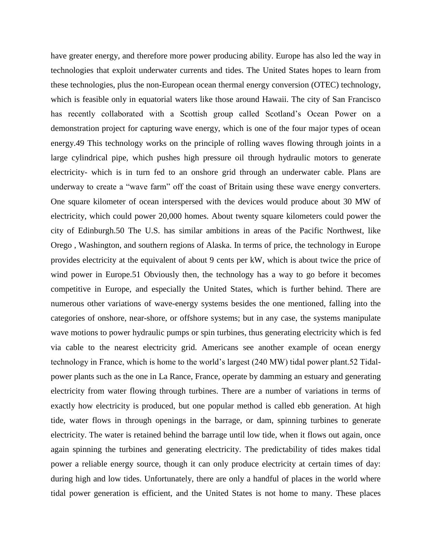have greater energy, and therefore more power producing ability. Europe has also led the way in technologies that exploit underwater currents and tides. The United States hopes to learn from these technologies, plus the non-European ocean thermal energy conversion (OTEC) technology, which is feasible only in equatorial waters like those around Hawaii. The city of San Francisco has recently collaborated with a Scottish group called Scotland's Ocean Power on a demonstration project for capturing wave energy, which is one of the four major types of ocean energy.49 This technology works on the principle of rolling waves flowing through joints in a large cylindrical pipe, which pushes high pressure oil through hydraulic motors to generate electricity- which is in turn fed to an onshore grid through an underwater cable. Plans are underway to create a "wave farm" off the coast of Britain using these wave energy converters. One square kilometer of ocean interspersed with the devices would produce about 30 MW of electricity, which could power 20,000 homes. About twenty square kilometers could power the city of Edinburgh.50 The U.S. has similar ambitions in areas of the Pacific Northwest, like Orego , Washington, and southern regions of Alaska. In terms of price, the technology in Europe provides electricity at the equivalent of about 9 cents per kW, which is about twice the price of wind power in Europe.51 Obviously then, the technology has a way to go before it becomes competitive in Europe, and especially the United States, which is further behind. There are numerous other variations of wave-energy systems besides the one mentioned, falling into the categories of onshore, near-shore, or offshore systems; but in any case, the systems manipulate wave motions to power hydraulic pumps or spin turbines, thus generating electricity which is fed via cable to the nearest electricity grid. Americans see another example of ocean energy technology in France, which is home to the world's largest (240 MW) tidal power plant.52 Tidalpower plants such as the one in La Rance, France, operate by damming an estuary and generating electricity from water flowing through turbines. There are a number of variations in terms of exactly how electricity is produced, but one popular method is called ebb generation. At high tide, water flows in through openings in the barrage, or dam, spinning turbines to generate electricity. The water is retained behind the barrage until low tide, when it flows out again, once again spinning the turbines and generating electricity. The predictability of tides makes tidal power a reliable energy source, though it can only produce electricity at certain times of day: during high and low tides. Unfortunately, there are only a handful of places in the world where tidal power generation is efficient, and the United States is not home to many. These places